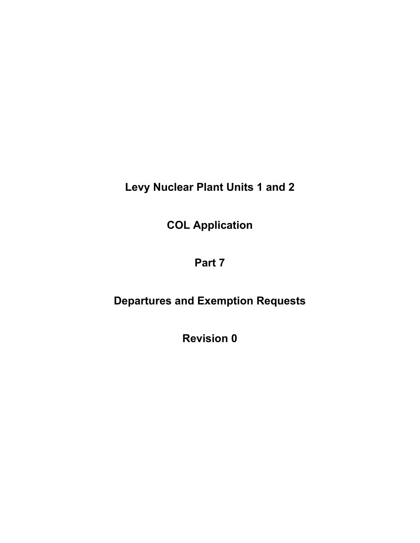**Levy Nuclear Plant Units 1 and 2** 

**COL Application** 

# **Part 7**

# **Departures and Exemption Requests**

**Revision 0**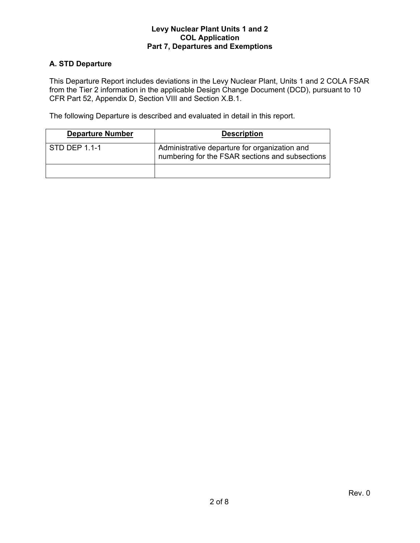# **A. STD Departure**

This Departure Report includes deviations in the Levy Nuclear Plant, Units 1 and 2 COLA FSAR from the Tier 2 information in the applicable Design Change Document (DCD), pursuant to 10 CFR Part 52, Appendix D, Section VIII and Section X.B.1.

The following Departure is described and evaluated in detail in this report.

| <b>Departure Number</b> | <b>Description</b>                                                                               |
|-------------------------|--------------------------------------------------------------------------------------------------|
| STD DEP 1.1-1           | Administrative departure for organization and<br>numbering for the FSAR sections and subsections |
|                         |                                                                                                  |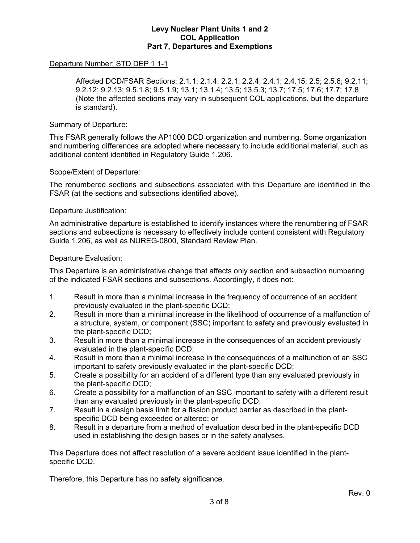# Departure Number: STD DEP 1.1-1

 Affected DCD/FSAR Sections: 2.1.1; 2.1.4; 2.2.1; 2.2.4; 2.4.1; 2.4.15; 2.5; 2.5.6; 9.2.11; 9.2.12; 9.2.13; 9.5.1.8; 9.5.1.9; 13.1; 13.1.4; 13.5; 13.5.3; 13.7; 17.5; 17.6; 17.7; 17.8 (Note the affected sections may vary in subsequent COL applications, but the departure is standard).

## Summary of Departure:

This FSAR generally follows the AP1000 DCD organization and numbering. Some organization and numbering differences are adopted where necessary to include additional material, such as additional content identified in Regulatory Guide 1.206.

# Scope/Extent of Departure:

The renumbered sections and subsections associated with this Departure are identified in the FSAR (at the sections and subsections identified above).

## Departure Justification:

An administrative departure is established to identify instances where the renumbering of FSAR sections and subsections is necessary to effectively include content consistent with Regulatory Guide 1.206, as well as NUREG-0800, Standard Review Plan.

## Departure Evaluation:

This Departure is an administrative change that affects only section and subsection numbering of the indicated FSAR sections and subsections. Accordingly, it does not:

- 1. Result in more than a minimal increase in the frequency of occurrence of an accident previously evaluated in the plant-specific DCD;
- 2. Result in more than a minimal increase in the likelihood of occurrence of a malfunction of a structure, system, or component (SSC) important to safety and previously evaluated in the plant-specific DCD;
- 3. Result in more than a minimal increase in the consequences of an accident previously evaluated in the plant-specific DCD;
- 4. Result in more than a minimal increase in the consequences of a malfunction of an SSC important to safety previously evaluated in the plant-specific DCD;
- 5. Create a possibility for an accident of a different type than any evaluated previously in the plant-specific DCD;
- 6. Create a possibility for a malfunction of an SSC important to safety with a different result than any evaluated previously in the plant-specific DCD;
- 7. Result in a design basis limit for a fission product barrier as described in the plantspecific DCD being exceeded or altered; or
- 8. Result in a departure from a method of evaluation described in the plant-specific DCD used in establishing the design bases or in the safety analyses.

This Departure does not affect resolution of a severe accident issue identified in the plantspecific DCD.

Therefore, this Departure has no safety significance.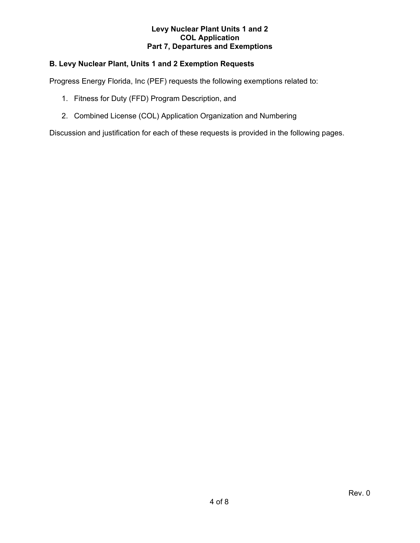# **B. Levy Nuclear Plant, Units 1 and 2 Exemption Requests**

Progress Energy Florida, Inc (PEF) requests the following exemptions related to:

- 1. Fitness for Duty (FFD) Program Description, and
- 2. Combined License (COL) Application Organization and Numbering

Discussion and justification for each of these requests is provided in the following pages.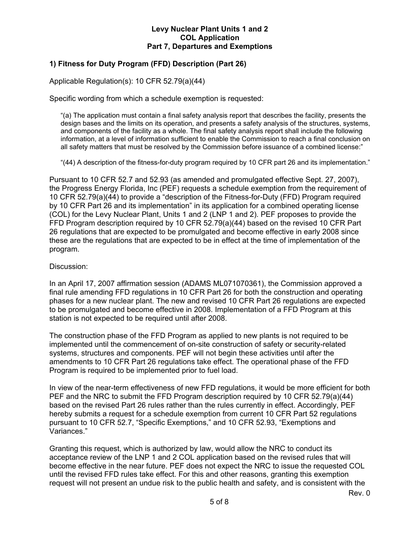# **1) Fitness for Duty Program (FFD) Description (Part 26)**

Applicable Regulation(s): 10 CFR 52.79(a)(44)

Specific wording from which a schedule exemption is requested:

"(a) The application must contain a final safety analysis report that describes the facility, presents the design bases and the limits on its operation, and presents a safety analysis of the structures, systems, and components of the facility as a whole. The final safety analysis report shall include the following information, at a level of information sufficient to enable the Commission to reach a final conclusion on all safety matters that must be resolved by the Commission before issuance of a combined license:"

"(44) A description of the fitness-for-duty program required by 10 CFR part 26 and its implementation."

Pursuant to 10 CFR 52.7 and 52.93 (as amended and promulgated effective Sept. 27, 2007), the Progress Energy Florida, Inc (PEF) requests a schedule exemption from the requirement of 10 CFR 52.79(a)(44) to provide a "description of the Fitness-for-Duty (FFD) Program required by 10 CFR Part 26 and its implementation" in its application for a combined operating license (COL) for the Levy Nuclear Plant, Units 1 and 2 (LNP 1 and 2). PEF proposes to provide the FFD Program description required by 10 CFR 52.79(a)(44) based on the revised 10 CFR Part 26 regulations that are expected to be promulgated and become effective in early 2008 since these are the regulations that are expected to be in effect at the time of implementation of the program.

## Discussion:

In an April 17, 2007 affirmation session (ADAMS ML071070361), the Commission approved a final rule amending FFD regulations in 10 CFR Part 26 for both the construction and operating phases for a new nuclear plant. The new and revised 10 CFR Part 26 regulations are expected to be promulgated and become effective in 2008. Implementation of a FFD Program at this station is not expected to be required until after 2008.

The construction phase of the FFD Program as applied to new plants is not required to be implemented until the commencement of on-site construction of safety or security-related systems, structures and components. PEF will not begin these activities until after the amendments to 10 CFR Part 26 regulations take effect. The operational phase of the FFD Program is required to be implemented prior to fuel load.

In view of the near-term effectiveness of new FFD regulations, it would be more efficient for both PEF and the NRC to submit the FFD Program description required by 10 CFR 52.79(a)(44) based on the revised Part 26 rules rather than the rules currently in effect. Accordingly, PEF hereby submits a request for a schedule exemption from current 10 CFR Part 52 regulations pursuant to 10 CFR 52.7, "Specific Exemptions," and 10 CFR 52.93, "Exemptions and Variances."

Granting this request, which is authorized by law, would allow the NRC to conduct its acceptance review of the LNP 1 and 2 COL application based on the revised rules that will become effective in the near future. PEF does not expect the NRC to issue the requested COL until the revised FFD rules take effect. For this and other reasons, granting this exemption request will not present an undue risk to the public health and safety, and is consistent with the

Rev. 0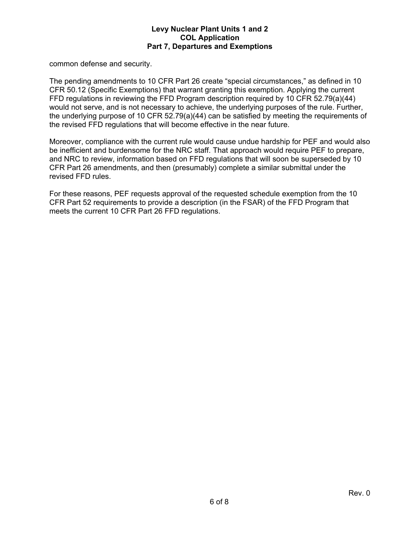common defense and security.

The pending amendments to 10 CFR Part 26 create "special circumstances," as defined in 10 CFR 50.12 (Specific Exemptions) that warrant granting this exemption. Applying the current FFD regulations in reviewing the FFD Program description required by 10 CFR 52.79(a)(44) would not serve, and is not necessary to achieve, the underlying purposes of the rule. Further, the underlying purpose of 10 CFR 52.79(a)(44) can be satisfied by meeting the requirements of the revised FFD regulations that will become effective in the near future.

Moreover, compliance with the current rule would cause undue hardship for PEF and would also be inefficient and burdensome for the NRC staff. That approach would require PEF to prepare, and NRC to review, information based on FFD regulations that will soon be superseded by 10 CFR Part 26 amendments, and then (presumably) complete a similar submittal under the revised FFD rules.

For these reasons, PEF requests approval of the requested schedule exemption from the 10 CFR Part 52 requirements to provide a description (in the FSAR) of the FFD Program that meets the current 10 CFR Part 26 FFD regulations.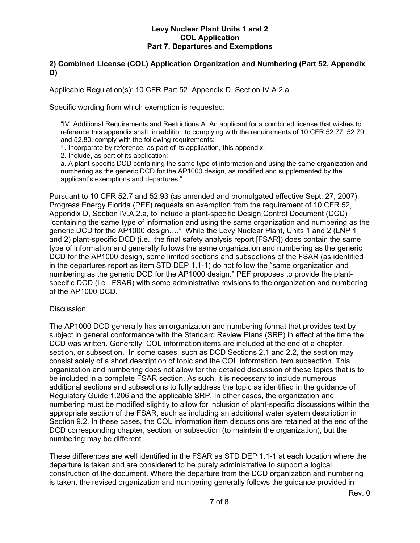# **2) Combined License (COL) Application Organization and Numbering (Part 52, Appendix D)**

Applicable Regulation(s): 10 CFR Part 52, Appendix D, Section IV.A.2.a

Specific wording from which exemption is requested:

"IV. Additional Requirements and Restrictions A. An applicant for a combined license that wishes to reference this appendix shall, in addition to complying with the requirements of 10 CFR 52.77, 52.79, and 52.80, comply with the following requirements:

1. Incorporate by reference, as part of its application, this appendix.

2. Include, as part of its application:

a. A plant-specific DCD containing the same type of information and using the same organization and numbering as the generic DCD for the AP1000 design, as modified and supplemented by the applicant's exemptions and departures;"

Pursuant to 10 CFR 52.7 and 52.93 (as amended and promulgated effective Sept. 27, 2007), Progress Energy Florida (PEF) requests an exemption from the requirement of 10 CFR 52, Appendix D, Section IV.A.2.a, to include a plant-specific Design Control Document (DCD) "containing the same type of information and using the same organization and numbering as the generic DCD for the AP1000 design…." While the Levy Nuclear Plant, Units 1 and 2 (LNP 1 and 2) plant-specific DCD (i.e., the final safety analysis report [FSAR]) does contain the same type of information and generally follows the same organization and numbering as the generic DCD for the AP1000 design, some limited sections and subsections of the FSAR (as identified in the departures report as item STD DEP 1.1-1) do not follow the "same organization and numbering as the generic DCD for the AP1000 design." PEF proposes to provide the plantspecific DCD (i.e., FSAR) with some administrative revisions to the organization and numbering of the AP1000 DCD.

## Discussion:

The AP1000 DCD generally has an organization and numbering format that provides text by subject in general conformance with the Standard Review Plans (SRP) in effect at the time the DCD was written. Generally, COL information items are included at the end of a chapter, section, or subsection. In some cases, such as DCD Sections 2.1 and 2.2, the section may consist solely of a short description of topic and the COL information item subsection. This organization and numbering does not allow for the detailed discussion of these topics that is to be included in a complete FSAR section. As such, it is necessary to include numerous additional sections and subsections to fully address the topic as identified in the guidance of Regulatory Guide 1.206 and the applicable SRP. In other cases, the organization and numbering must be modified slightly to allow for inclusion of plant-specific discussions within the appropriate section of the FSAR, such as including an additional water system description in Section 9.2. In these cases, the COL information item discussions are retained at the end of the DCD corresponding chapter, section, or subsection (to maintain the organization), but the numbering may be different.

These differences are well identified in the FSAR as STD DEP 1.1-1 at each location where the departure is taken and are considered to be purely administrative to support a logical construction of the document. Where the departure from the DCD organization and numbering is taken, the revised organization and numbering generally follows the guidance provided in